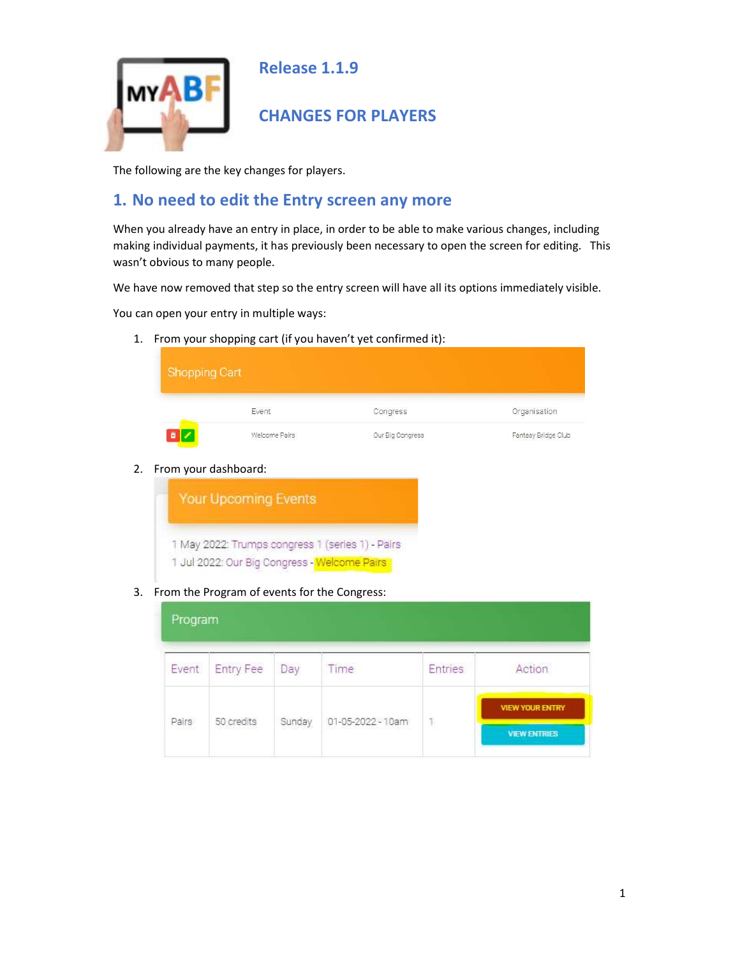

Release 1.1.9

## CHANGES FOR PLAYERS

The following are the key changes for players.

## 1. No need to edit the Entry screen any more

When you already have an entry in place, in order to be able to make various changes, including making individual payments, it has previously been necessary to open the screen for editing. This wasn't obvious to many people.

We have now removed that step so the entry screen will have all its options immediately visible.

You can open your entry in multiple ways:

1. From your shopping cart (if you haven't yet confirmed it):

| <b>Shopping Cart</b> |               |                  |                     |
|----------------------|---------------|------------------|---------------------|
|                      | Event         | Congress         | Organisation        |
|                      | Welcome Pairs | Our Big Congress | Fantasy Bridge Club |

2. From your dashboard:



3. From the Program of events for the Congress:

| Program |                  |        |                   |                |                                                                  |
|---------|------------------|--------|-------------------|----------------|------------------------------------------------------------------|
| Event   | <b>Entry Fee</b> | Day    | Time              | <b>Entries</b> | Action                                                           |
|         |                  |        |                   |                | the control of the control of the con-<br><b>VIEW YOUR ENTRY</b> |
| Pairs   | 50 credits       | Sunday | 01-05-2022 - 10am | 1              | <b>VIEW ENTRIES</b>                                              |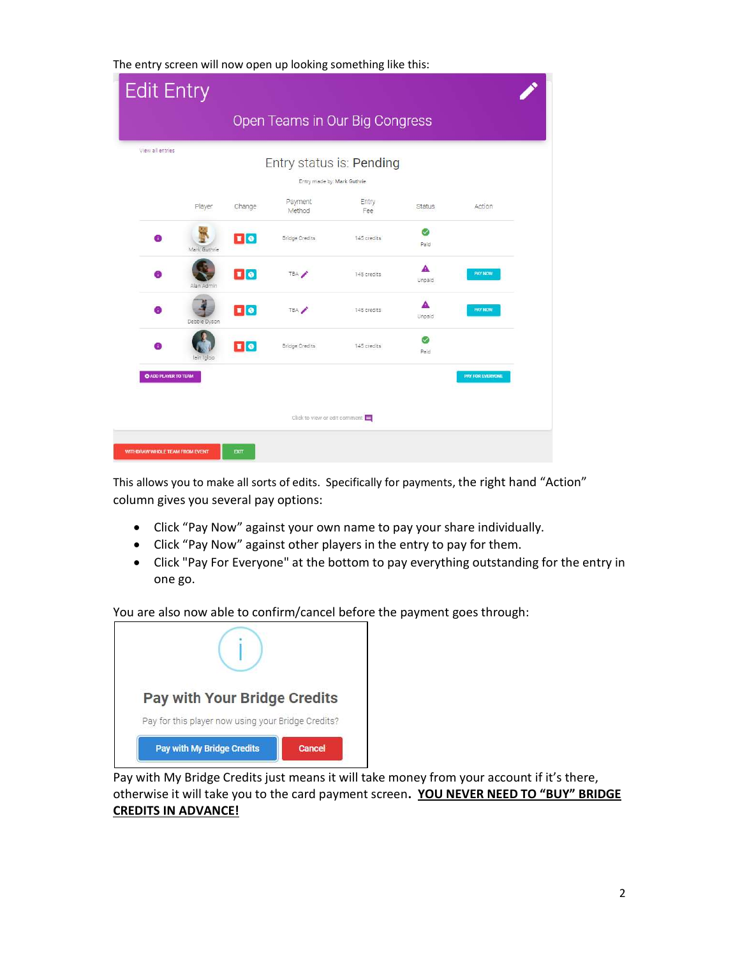The entry screen will now open up looking something like this:

| <b>Edit Entry</b>                     |              |                          |                               |                                |               |                  |  |
|---------------------------------------|--------------|--------------------------|-------------------------------|--------------------------------|---------------|------------------|--|
|                                       |              |                          |                               | Open Teams in Our Big Congress |               |                  |  |
| View all entries                      |              |                          | Entry made by: Mark Guthrie   | Entry status is: Pending       |               |                  |  |
|                                       | Player       | Change                   | Payment<br>Method             | Entry<br>Fee                   | <b>Status</b> | Action           |  |
| 6                                     | Mark Guthrie | $\boxed{1}$ e            | <b>Bridge Credits</b>         | 145 credits                    | Ø<br>Paid     |                  |  |
| A                                     | Alan Admin   | $\bullet$                | TBA /                         | 145 credits                    | A<br>Unpaid   | <b>PAY NOW</b>   |  |
| A                                     | Debbie Dyson | $\blacksquare$           | TBA /                         | 145 credits                    | A<br>Unpaid   | <b>PAY NOW</b>   |  |
| Ŧ.                                    | lain Igloo   | $\mathbf{F}[\mathbf{e}]$ | <b>Bridge Credits</b>         | 145 credits                    | ☑<br>Païd     |                  |  |
| C ADD PLAYER TO TEAM                  |              |                          |                               |                                |               | PAY FOR EVERYONE |  |
|                                       |              |                          | Click to view or edit comment |                                |               |                  |  |
| <b>WITHDRAW WHOLE TEAM FROM EVENT</b> |              | <b>EXIT</b>              |                               |                                |               |                  |  |

This allows you to make all sorts of edits. Specifically for payments, the right hand "Action" column gives you several pay options:

- Click "Pay Now" against your own name to pay your share individually.
- Click "Pay Now" against other players in the entry to pay for them.
- Click "Pay For Everyone" at the bottom to pay everything outstanding for the entry in one go.

You are also now able to confirm/cancel before the payment goes through:

| <b>Pay with Your Bridge Credits</b>                |        |
|----------------------------------------------------|--------|
| Pay for this player now using your Bridge Credits? |        |
| Pay with My Bridge Credits                         | Cancel |

Pay with My Bridge Credits just means it will take money from your account if it's there, otherwise it will take you to the card payment screen. YOU NEVER NEED TO "BUY" BRIDGE CREDITS IN ADVANCE!